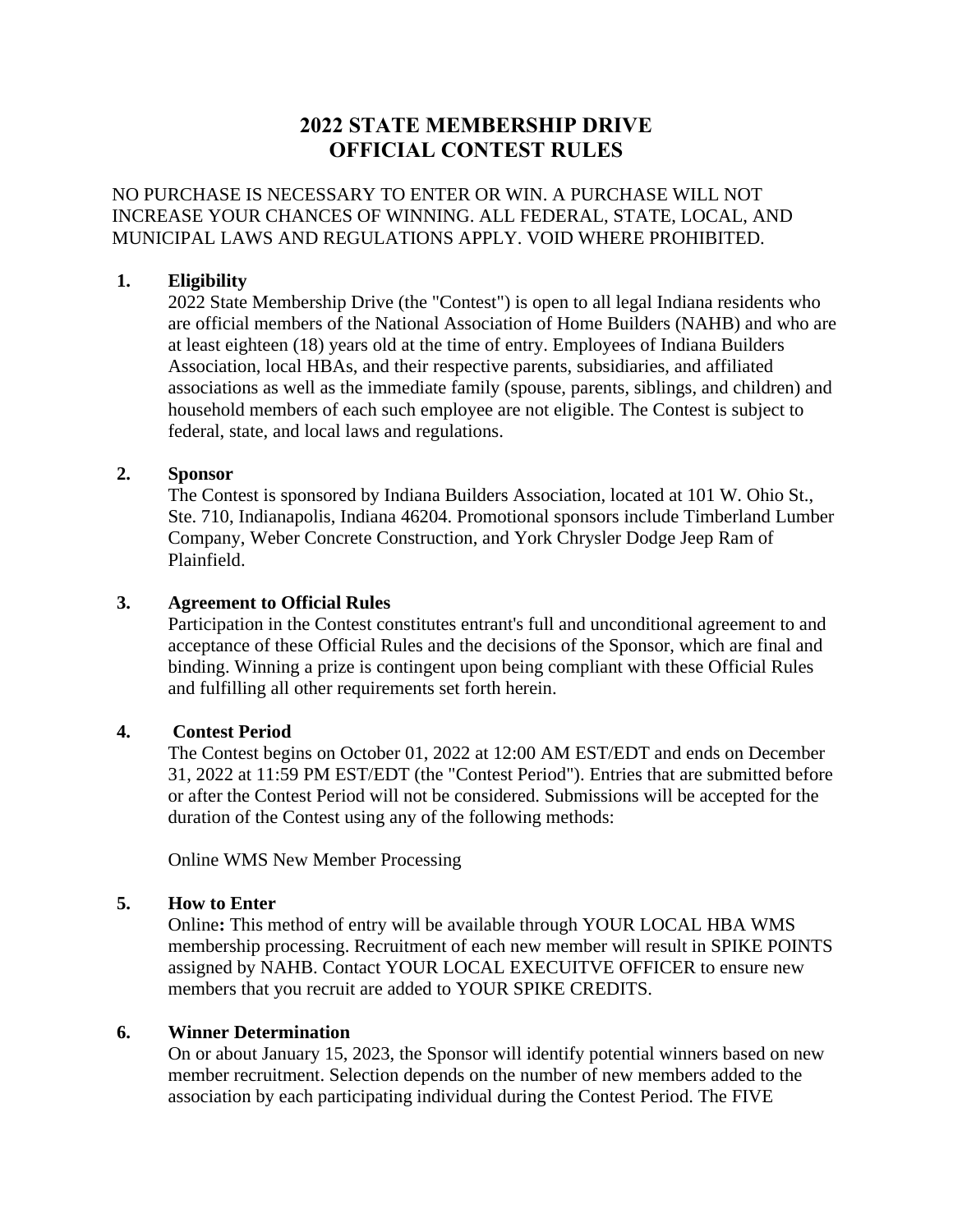# **2022 STATE MEMBERSHIP DRIVE OFFICIAL CONTEST RULES**

NO PURCHASE IS NECESSARY TO ENTER OR WIN. A PURCHASE WILL NOT INCREASE YOUR CHANCES OF WINNING. ALL FEDERAL, STATE, LOCAL, AND MUNICIPAL LAWS AND REGULATIONS APPLY. VOID WHERE PROHIBITED.

# **1. Eligibility**

2022 State Membership Drive (the "Contest") is open to all legal Indiana residents who are official members of the National Association of Home Builders (NAHB) and who are at least eighteen (18) years old at the time of entry. Employees of Indiana Builders Association, local HBAs, and their respective parents, subsidiaries, and affiliated associations as well as the immediate family (spouse, parents, siblings, and children) and household members of each such employee are not eligible. The Contest is subject to federal, state, and local laws and regulations.

# **2. Sponsor**

The Contest is sponsored by Indiana Builders Association, located at 101 W. Ohio St., Ste. 710, Indianapolis, Indiana 46204. Promotional sponsors include Timberland Lumber Company, Weber Concrete Construction, and [York Chrysler Dodge Jeep Ram of](https://www.yorkcdjrofplainfield.com/)  [Plainfield.](https://www.yorkcdjrofplainfield.com/)

# **3. Agreement to Official Rules**

Participation in the Contest constitutes entrant's full and unconditional agreement to and acceptance of these Official Rules and the decisions of the Sponsor, which are final and binding. Winning a prize is contingent upon being compliant with these Official Rules and fulfilling all other requirements set forth herein.

# **4. Contest Period**

The Contest begins on October 01, 2022 at 12:00 AM EST/EDT and ends on December 31, 2022 at 11:59 PM EST/EDT (the "Contest Period"). Entries that are submitted before or after the Contest Period will not be considered. Submissions will be accepted for the duration of the Contest using any of the following methods:

Online WMS New Member Processing

# **5. How to Enter**

Online**:** This method of entry will be available through YOUR LOCAL HBA WMS membership processing. Recruitment of each new member will result in SPIKE POINTS assigned by NAHB. Contact YOUR LOCAL EXECUITVE OFFICER to ensure new members that you recruit are added to YOUR SPIKE CREDITS.

# **6. Winner Determination**

On or about January 15, 2023, the Sponsor will identify potential winners based on new member recruitment. Selection depends on the number of new members added to the association by each participating individual during the Contest Period. The FIVE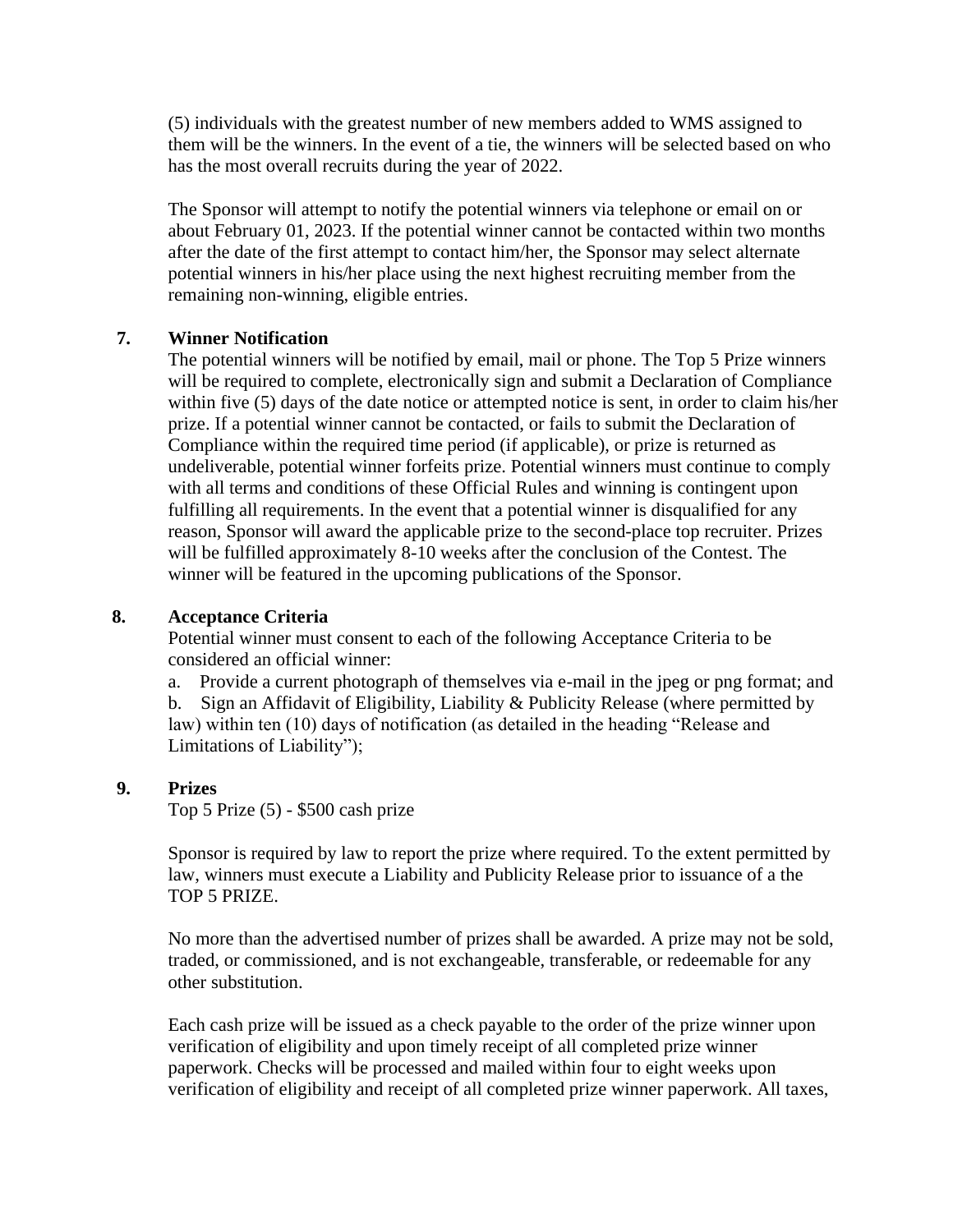(5) individuals with the greatest number of new members added to WMS assigned to them will be the winners. In the event of a tie, the winners will be selected based on who has the most overall recruits during the year of 2022.

The Sponsor will attempt to notify the potential winners via telephone or email on or about February 01, 2023. If the potential winner cannot be contacted within two months after the date of the first attempt to contact him/her, the Sponsor may select alternate potential winners in his/her place using the next highest recruiting member from the remaining non-winning, eligible entries.

# **7. Winner Notification**

The potential winners will be notified by email, mail or phone. The Top 5 Prize winners will be required to complete, electronically sign and submit a Declaration of Compliance within five (5) days of the date notice or attempted notice is sent, in order to claim his/her prize. If a potential winner cannot be contacted, or fails to submit the Declaration of Compliance within the required time period (if applicable), or prize is returned as undeliverable, potential winner forfeits prize. Potential winners must continue to comply with all terms and conditions of these Official Rules and winning is contingent upon fulfilling all requirements. In the event that a potential winner is disqualified for any reason, Sponsor will award the applicable prize to the second-place top recruiter. Prizes will be fulfilled approximately 8-10 weeks after the conclusion of the Contest. The winner will be featured in the upcoming publications of the Sponsor.

# **8. Acceptance Criteria**

Potential winner must consent to each of the following Acceptance Criteria to be considered an official winner:

a. Provide a current photograph of themselves via e-mail in the jpeg or png format; and b. Sign an Affidavit of Eligibility, Liability & Publicity Release (where permitted by law) within ten (10) days of notification (as detailed in the heading "Release and Limitations of Liability");

# **9. Prizes**

Top 5 Prize (5) - \$500 cash prize

Sponsor is required by law to report the prize where required. To the extent permitted by law, winners must execute a Liability and Publicity Release prior to issuance of a the TOP 5 PRIZE.

No more than the advertised number of prizes shall be awarded. A prize may not be sold, traded, or commissioned, and is not exchangeable, transferable, or redeemable for any other substitution.

Each cash prize will be issued as a check payable to the order of the prize winner upon verification of eligibility and upon timely receipt of all completed prize winner paperwork. Checks will be processed and mailed within four to eight weeks upon verification of eligibility and receipt of all completed prize winner paperwork. All taxes,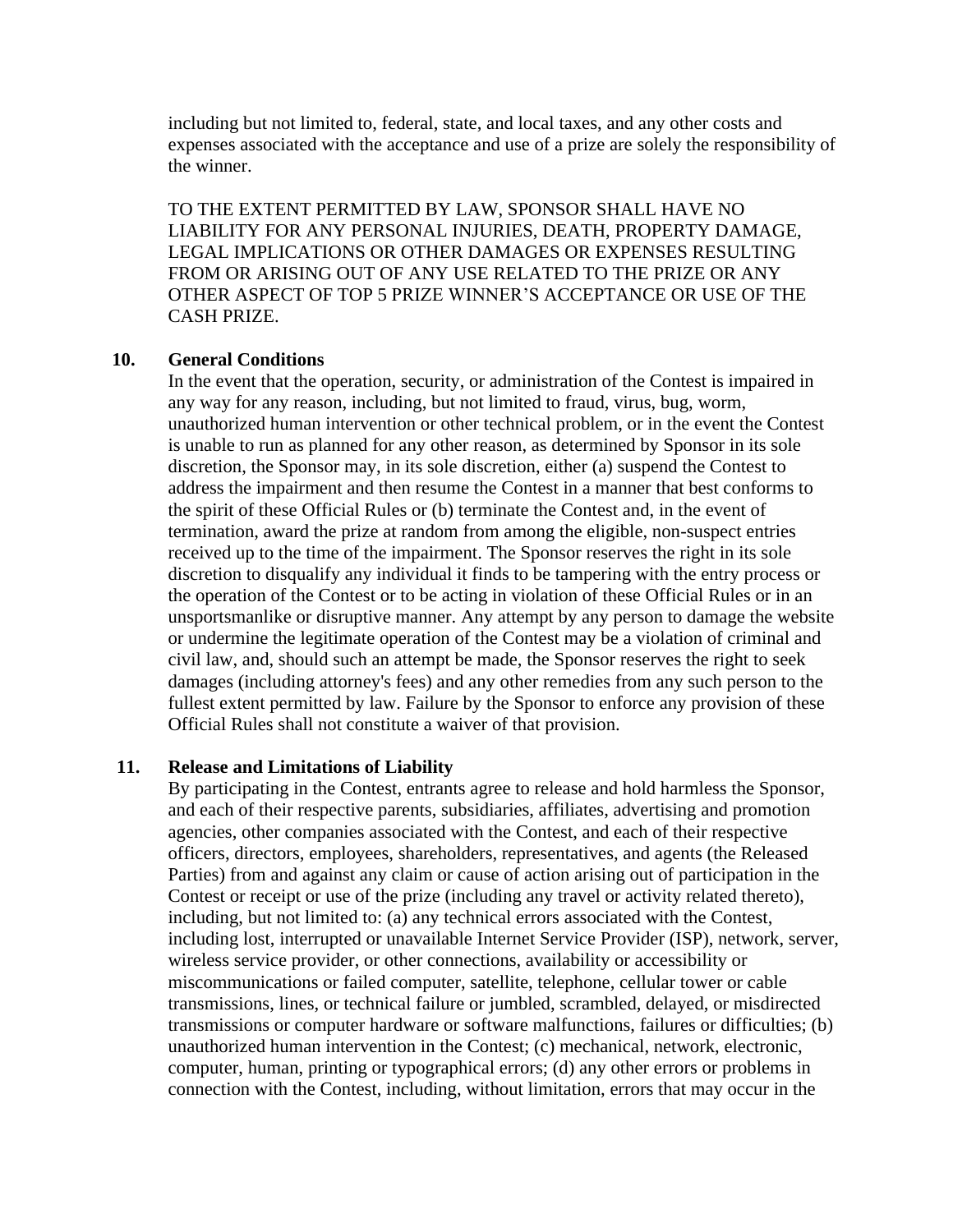including but not limited to, federal, state, and local taxes, and any other costs and expenses associated with the acceptance and use of a prize are solely the responsibility of the winner.

TO THE EXTENT PERMITTED BY LAW, SPONSOR SHALL HAVE NO LIABILITY FOR ANY PERSONAL INJURIES, DEATH, PROPERTY DAMAGE, LEGAL IMPLICATIONS OR OTHER DAMAGES OR EXPENSES RESULTING FROM OR ARISING OUT OF ANY USE RELATED TO THE PRIZE OR ANY OTHER ASPECT OF TOP 5 PRIZE WINNER'S ACCEPTANCE OR USE OF THE CASH PRIZE.

#### **10. General Conditions**

In the event that the operation, security, or administration of the Contest is impaired in any way for any reason, including, but not limited to fraud, virus, bug, worm, unauthorized human intervention or other technical problem, or in the event the Contest is unable to run as planned for any other reason, as determined by Sponsor in its sole discretion, the Sponsor may, in its sole discretion, either (a) suspend the Contest to address the impairment and then resume the Contest in a manner that best conforms to the spirit of these Official Rules or (b) terminate the Contest and, in the event of termination, award the prize at random from among the eligible, non-suspect entries received up to the time of the impairment. The Sponsor reserves the right in its sole discretion to disqualify any individual it finds to be tampering with the entry process or the operation of the Contest or to be acting in violation of these Official Rules or in an unsportsmanlike or disruptive manner. Any attempt by any person to damage the website or undermine the legitimate operation of the Contest may be a violation of criminal and civil law, and, should such an attempt be made, the Sponsor reserves the right to seek damages (including attorney's fees) and any other remedies from any such person to the fullest extent permitted by law. Failure by the Sponsor to enforce any provision of these Official Rules shall not constitute a waiver of that provision.

#### **11. Release and Limitations of Liability**

By participating in the Contest, entrants agree to release and hold harmless the Sponsor, and each of their respective parents, subsidiaries, affiliates, advertising and promotion agencies, other companies associated with the Contest, and each of their respective officers, directors, employees, shareholders, representatives, and agents (the Released Parties) from and against any claim or cause of action arising out of participation in the Contest or receipt or use of the prize (including any travel or activity related thereto), including, but not limited to: (a) any technical errors associated with the Contest, including lost, interrupted or unavailable Internet Service Provider (ISP), network, server, wireless service provider, or other connections, availability or accessibility or miscommunications or failed computer, satellite, telephone, cellular tower or cable transmissions, lines, or technical failure or jumbled, scrambled, delayed, or misdirected transmissions or computer hardware or software malfunctions, failures or difficulties; (b) unauthorized human intervention in the Contest; (c) mechanical, network, electronic, computer, human, printing or typographical errors; (d) any other errors or problems in connection with the Contest, including, without limitation, errors that may occur in the